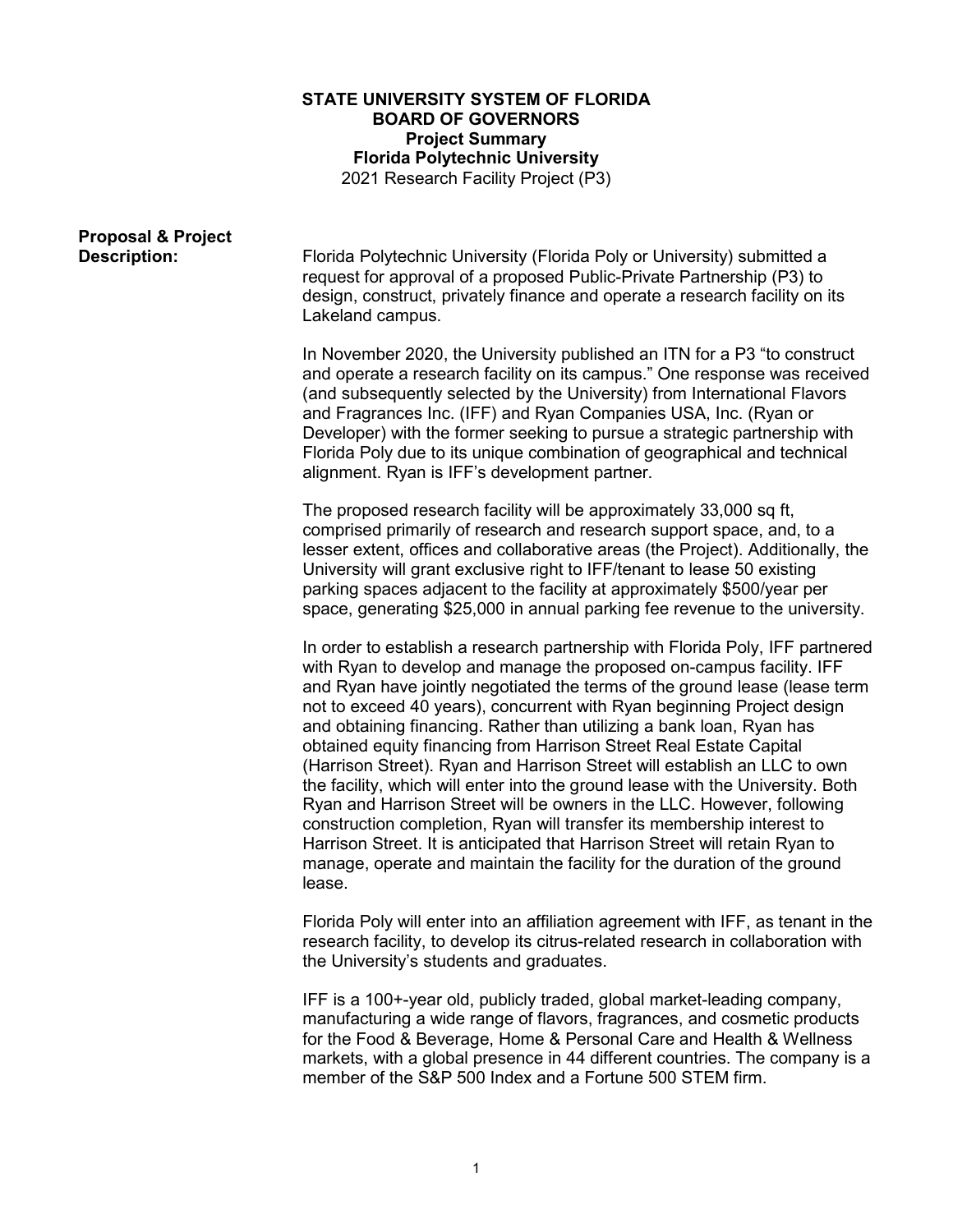## **STATE UNIVERSITY SYSTEM OF FLORIDA BOARD OF GOVERNORS Project Summary Florida Polytechnic University** 2021 Research Facility Project (P3)

| <b>Proposal &amp; Project</b><br><b>Description:</b> | Florida Polytechnic University (Florida Poly or University) submitted a<br>request for approval of a proposed Public-Private Partnership (P3) to<br>design, construct, privately finance and operate a research facility on its<br>Lakeland campus.                                                                                                                                                                                                                                                                                                                                                                                                                                                                                                                                                                                                                                                                                                |
|------------------------------------------------------|----------------------------------------------------------------------------------------------------------------------------------------------------------------------------------------------------------------------------------------------------------------------------------------------------------------------------------------------------------------------------------------------------------------------------------------------------------------------------------------------------------------------------------------------------------------------------------------------------------------------------------------------------------------------------------------------------------------------------------------------------------------------------------------------------------------------------------------------------------------------------------------------------------------------------------------------------|
|                                                      | In November 2020, the University published an ITN for a P3 "to construct<br>and operate a research facility on its campus." One response was received<br>(and subsequently selected by the University) from International Flavors<br>and Fragrances Inc. (IFF) and Ryan Companies USA, Inc. (Ryan or<br>Developer) with the former seeking to pursue a strategic partnership with<br>Florida Poly due to its unique combination of geographical and technical<br>alignment. Ryan is IFF's development partner.                                                                                                                                                                                                                                                                                                                                                                                                                                     |
|                                                      | The proposed research facility will be approximately 33,000 sq ft,<br>comprised primarily of research and research support space, and, to a<br>lesser extent, offices and collaborative areas (the Project). Additionally, the<br>University will grant exclusive right to IFF/tenant to lease 50 existing<br>parking spaces adjacent to the facility at approximately \$500/year per<br>space, generating \$25,000 in annual parking fee revenue to the university.                                                                                                                                                                                                                                                                                                                                                                                                                                                                               |
|                                                      | In order to establish a research partnership with Florida Poly, IFF partnered<br>with Ryan to develop and manage the proposed on-campus facility. IFF<br>and Ryan have jointly negotiated the terms of the ground lease (lease term<br>not to exceed 40 years), concurrent with Ryan beginning Project design<br>and obtaining financing. Rather than utilizing a bank loan, Ryan has<br>obtained equity financing from Harrison Street Real Estate Capital<br>(Harrison Street). Ryan and Harrison Street will establish an LLC to own<br>the facility, which will enter into the ground lease with the University. Both<br>Ryan and Harrison Street will be owners in the LLC. However, following<br>construction completion, Ryan will transfer its membership interest to<br>Harrison Street. It is anticipated that Harrison Street will retain Ryan to<br>manage, operate and maintain the facility for the duration of the ground<br>lease. |
|                                                      | Florida Poly will enter into an affiliation agreement with IFF, as tenant in the<br>research facility, to develop its citrus-related research in collaboration with<br>the University's students and graduates.                                                                                                                                                                                                                                                                                                                                                                                                                                                                                                                                                                                                                                                                                                                                    |

IFF is a 100+-year old, publicly traded, global market-leading company, manufacturing a wide range of flavors, fragrances, and cosmetic products for the Food & Beverage, Home & Personal Care and Health & Wellness markets, with a global presence in 44 different countries. The company is a member of the [S&P 500](https://en.wikipedia.org/wiki/S%26P_500) Index and a Fortune 500 STEM firm.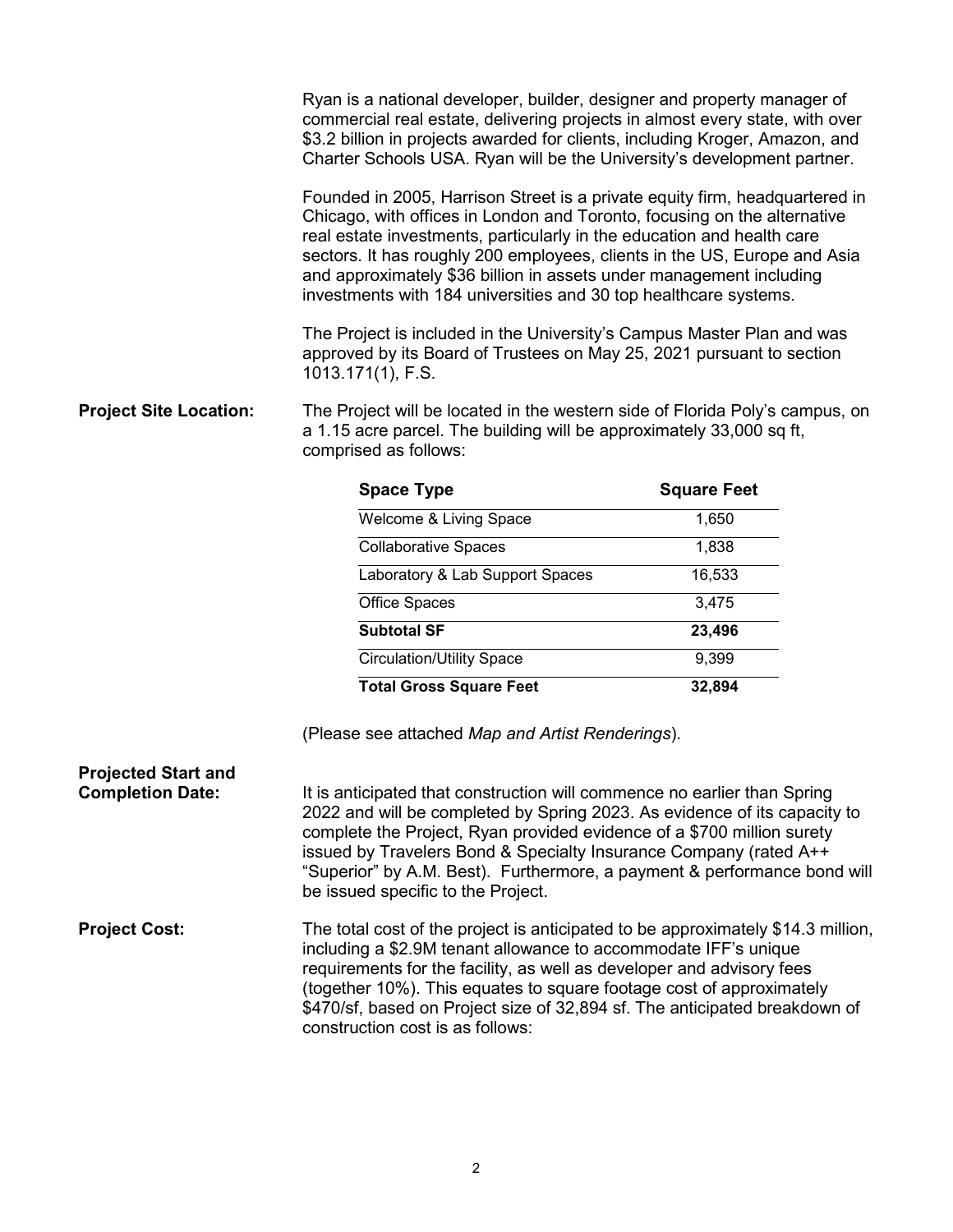|                                                       | Ryan is a national developer, builder, designer and property manager of<br>commercial real estate, delivering projects in almost every state, with over<br>\$3.2 billion in projects awarded for clients, including Kroger, Amazon, and<br>Charter Schools USA. Ryan will be the University's development partner.                                                                                                                                                                                                                                                                                                                |                    |
|-------------------------------------------------------|-----------------------------------------------------------------------------------------------------------------------------------------------------------------------------------------------------------------------------------------------------------------------------------------------------------------------------------------------------------------------------------------------------------------------------------------------------------------------------------------------------------------------------------------------------------------------------------------------------------------------------------|--------------------|
|                                                       | Founded in 2005, Harrison Street is a private equity firm, headquartered in<br>Chicago, with offices in London and Toronto, focusing on the alternative<br>real estate investments, particularly in the education and health care<br>sectors. It has roughly 200 employees, clients in the US, Europe and Asia<br>and approximately \$36 billion in assets under management including<br>investments with 184 universities and 30 top healthcare systems.<br>The Project is included in the University's Campus Master Plan and was<br>approved by its Board of Trustees on May 25, 2021 pursuant to section<br>1013.171(1), F.S. |                    |
| <b>Project Site Location:</b>                         | The Project will be located in the western side of Florida Poly's campus, on<br>a 1.15 acre parcel. The building will be approximately 33,000 sq ft,<br>comprised as follows:                                                                                                                                                                                                                                                                                                                                                                                                                                                     |                    |
|                                                       | <b>Space Type</b>                                                                                                                                                                                                                                                                                                                                                                                                                                                                                                                                                                                                                 | <b>Square Feet</b> |
|                                                       | Welcome & Living Space                                                                                                                                                                                                                                                                                                                                                                                                                                                                                                                                                                                                            | 1,650              |
|                                                       | <b>Collaborative Spaces</b>                                                                                                                                                                                                                                                                                                                                                                                                                                                                                                                                                                                                       | 1,838              |
|                                                       | Laboratory & Lab Support Spaces                                                                                                                                                                                                                                                                                                                                                                                                                                                                                                                                                                                                   | 16,533             |
|                                                       | Office Spaces                                                                                                                                                                                                                                                                                                                                                                                                                                                                                                                                                                                                                     | 3,475              |
|                                                       | <b>Subtotal SF</b>                                                                                                                                                                                                                                                                                                                                                                                                                                                                                                                                                                                                                | 23,496             |
|                                                       | <b>Circulation/Utility Space</b>                                                                                                                                                                                                                                                                                                                                                                                                                                                                                                                                                                                                  | 9,399              |
|                                                       | <b>Total Gross Square Feet</b>                                                                                                                                                                                                                                                                                                                                                                                                                                                                                                                                                                                                    | 32,894             |
|                                                       | (Please see attached Map and Artist Renderings).                                                                                                                                                                                                                                                                                                                                                                                                                                                                                                                                                                                  |                    |
| <b>Projected Start and</b><br><b>Completion Date:</b> | It is anticipated that construction will commence no earlier than Spring<br>2022 and will be completed by Spring 2023. As evidence of its capacity to<br>complete the Project, Ryan provided evidence of a \$700 million surety<br>issued by Travelers Bond & Specialty Insurance Company (rated A++<br>"Superior" by A.M. Best). Furthermore, a payment & performance bond will<br>be issued specific to the Project.                                                                                                                                                                                                            |                    |
| <b>Project Cost:</b>                                  | The total cost of the project is anticipated to be approximately \$14.3 million,                                                                                                                                                                                                                                                                                                                                                                                                                                                                                                                                                  |                    |

including a \$2.9M tenant allowance to accommodate IFF's unique requirements for the facility, as well as developer and advisory fees (together 10%). This equates to square footage cost of approximately \$470/sf, based on Project size of 32,894 sf. The anticipated breakdown of construction cost is as follows: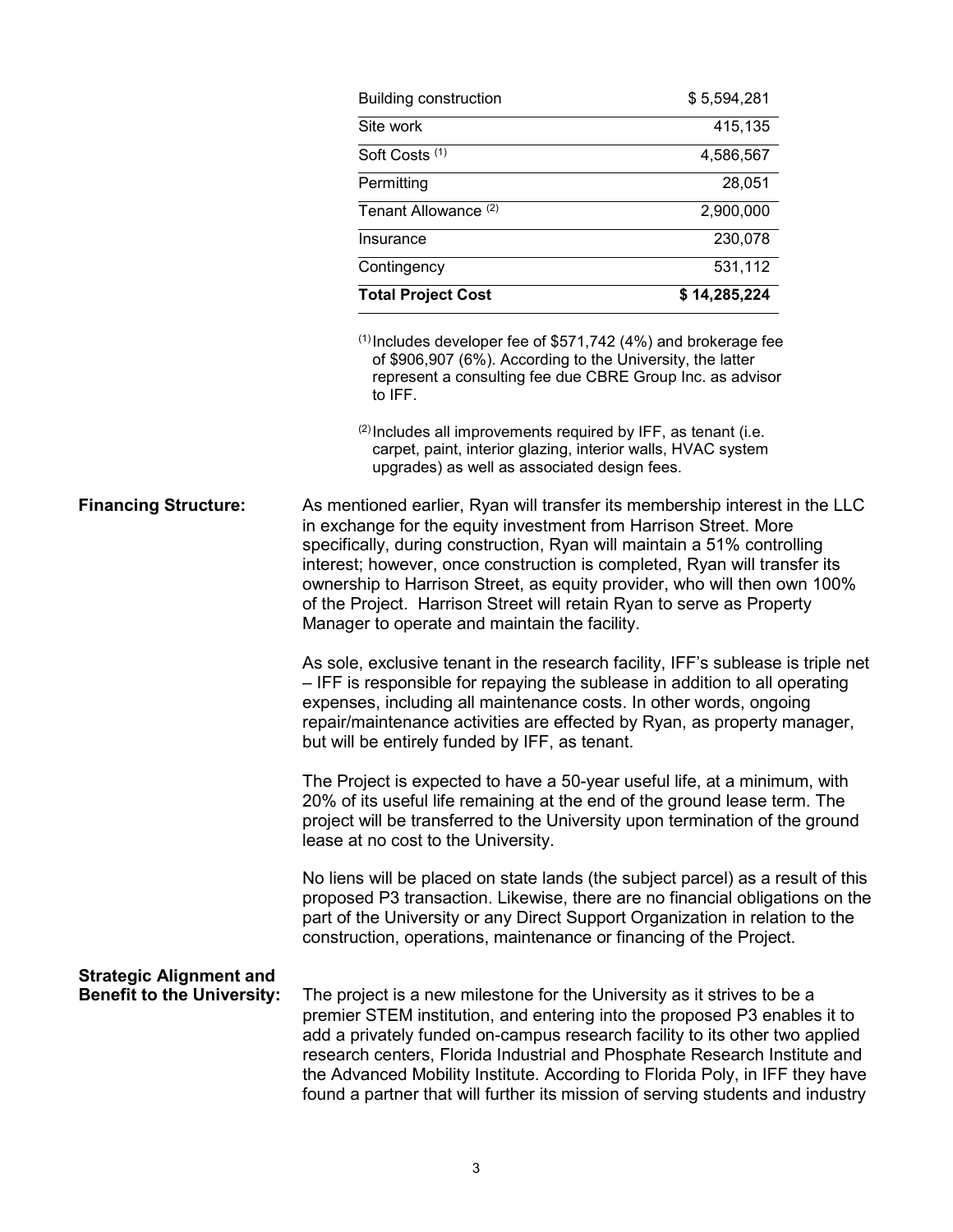|                                                                     | <b>Building construction</b>                                                                                                                                                                                                                                                                                                                                                                                                                                                       | \$5,594,281  |
|---------------------------------------------------------------------|------------------------------------------------------------------------------------------------------------------------------------------------------------------------------------------------------------------------------------------------------------------------------------------------------------------------------------------------------------------------------------------------------------------------------------------------------------------------------------|--------------|
|                                                                     | Site work                                                                                                                                                                                                                                                                                                                                                                                                                                                                          | 415,135      |
|                                                                     | Soft Costs <sup>(1)</sup>                                                                                                                                                                                                                                                                                                                                                                                                                                                          | 4,586,567    |
|                                                                     | Permitting                                                                                                                                                                                                                                                                                                                                                                                                                                                                         | 28,051       |
|                                                                     | Tenant Allowance <sup>(2)</sup>                                                                                                                                                                                                                                                                                                                                                                                                                                                    | 2,900,000    |
|                                                                     | Insurance                                                                                                                                                                                                                                                                                                                                                                                                                                                                          | 230,078      |
|                                                                     | Contingency                                                                                                                                                                                                                                                                                                                                                                                                                                                                        | 531,112      |
|                                                                     | <b>Total Project Cost</b>                                                                                                                                                                                                                                                                                                                                                                                                                                                          | \$14,285,224 |
|                                                                     | <sup>(1)</sup> Includes developer fee of \$571,742 (4%) and brokerage fee<br>of \$906,907 (6%). According to the University, the latter<br>represent a consulting fee due CBRE Group Inc. as advisor<br>to IFF.<br>(2) Includes all improvements required by IFF, as tenant (i.e.<br>carpet, paint, interior glazing, interior walls, HVAC system<br>upgrades) as well as associated design fees.<br>As mentioned earlier, Ryan will transfer its membership interest in the LLC   |              |
| <b>Financing Structure:</b>                                         | in exchange for the equity investment from Harrison Street. More<br>specifically, during construction, Ryan will maintain a 51% controlling<br>interest; however, once construction is completed, Ryan will transfer its<br>ownership to Harrison Street, as equity provider, who will then own 100%<br>of the Project. Harrison Street will retain Ryan to serve as Property<br>Manager to operate and maintain the facility.                                                     |              |
|                                                                     | As sole, exclusive tenant in the research facility, IFF's sublease is triple net<br>- IFF is responsible for repaying the sublease in addition to all operating<br>expenses, including all maintenance costs. In other words, ongoing<br>repair/maintenance activities are effected by Ryan, as property manager,<br>but will be entirely funded by IFF, as tenant.                                                                                                                |              |
|                                                                     | The Project is expected to have a 50-year useful life, at a minimum, with<br>20% of its useful life remaining at the end of the ground lease term. The<br>project will be transferred to the University upon termination of the ground<br>lease at no cost to the University.                                                                                                                                                                                                      |              |
|                                                                     | No liens will be placed on state lands (the subject parcel) as a result of this<br>proposed P3 transaction. Likewise, there are no financial obligations on the<br>part of the University or any Direct Support Organization in relation to the<br>construction, operations, maintenance or financing of the Project.                                                                                                                                                              |              |
| <b>Strategic Alignment and</b><br><b>Benefit to the University:</b> | The project is a new milestone for the University as it strives to be a<br>premier STEM institution, and entering into the proposed P3 enables it to<br>add a privately funded on-campus research facility to its other two applied<br>research centers, Florida Industrial and Phosphate Research Institute and<br>the Advanced Mobility Institute. According to Florida Poly, in IFF they have<br>found a partner that will further its mission of serving students and industry |              |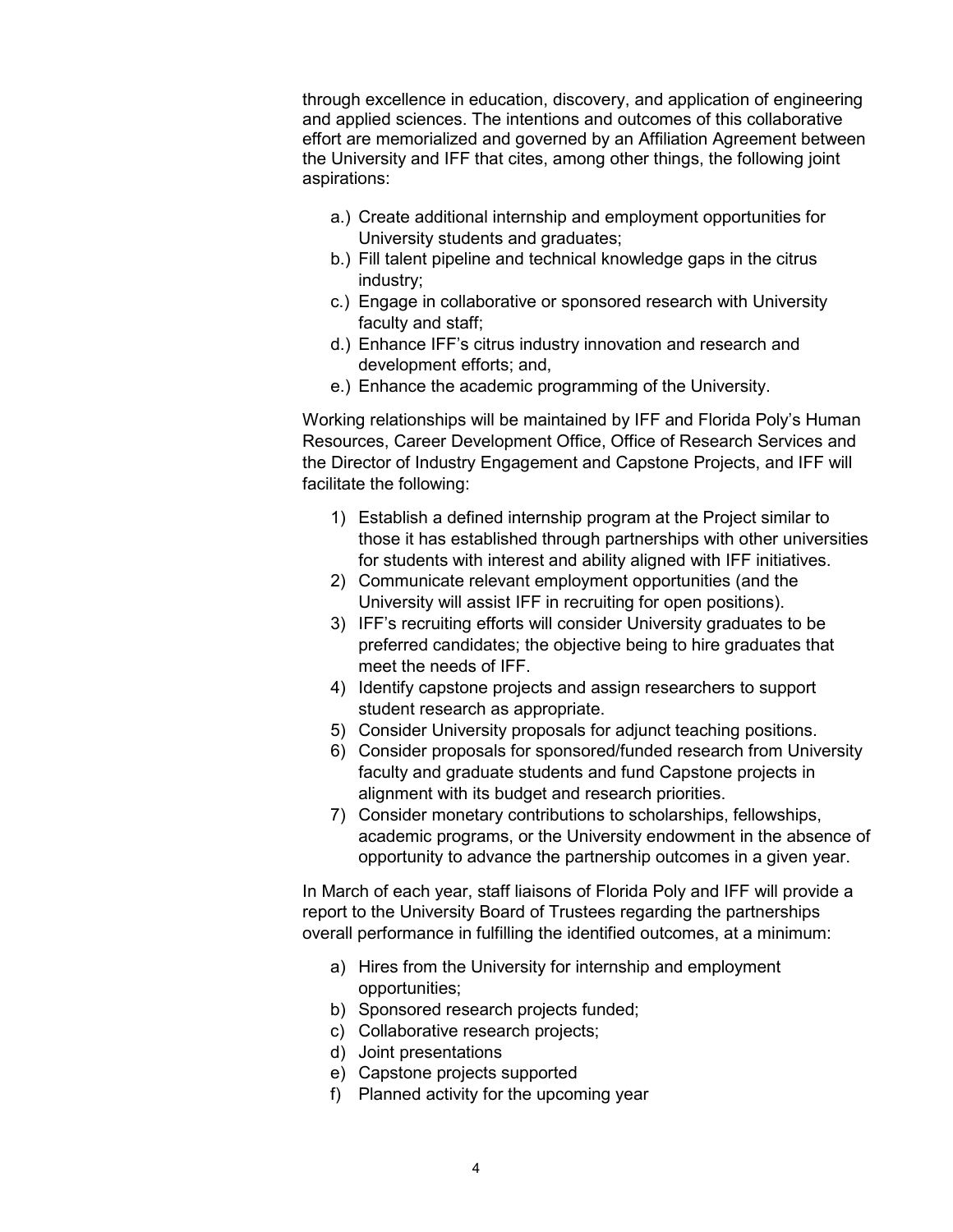through excellence in education, discovery, and application of engineering and applied sciences. The intentions and outcomes of this collaborative effort are memorialized and governed by an Affiliation Agreement between the University and IFF that cites, among other things, the following joint aspirations:

- a.) Create additional internship and employment opportunities for University students and graduates;
- b.) Fill talent pipeline and technical knowledge gaps in the citrus industry;
- c.) Engage in collaborative or sponsored research with University faculty and staff;
- d.) Enhance IFF's citrus industry innovation and research and development efforts; and,
- e.) Enhance the academic programming of the University.

Working relationships will be maintained by IFF and Florida Poly's Human Resources, Career Development Office, Office of Research Services and the Director of Industry Engagement and Capstone Projects, and IFF will facilitate the following:

- 1) Establish a defined internship program at the Project similar to those it has established through partnerships with other universities for students with interest and ability aligned with IFF initiatives.
- 2) Communicate relevant employment opportunities (and the University will assist IFF in recruiting for open positions).
- 3) IFF's recruiting efforts will consider University graduates to be preferred candidates; the objective being to hire graduates that meet the needs of IFF.
- 4) Identify capstone projects and assign researchers to support student research as appropriate.
- 5) Consider University proposals for adjunct teaching positions.
- 6) Consider proposals for sponsored/funded research from University faculty and graduate students and fund Capstone projects in alignment with its budget and research priorities.
- 7) Consider monetary contributions to scholarships, fellowships, academic programs, or the University endowment in the absence of opportunity to advance the partnership outcomes in a given year.

In March of each year, staff liaisons of Florida Poly and IFF will provide a report to the University Board of Trustees regarding the partnerships overall performance in fulfilling the identified outcomes, at a minimum:

- a) Hires from the University for internship and employment opportunities;
- b) Sponsored research projects funded;
- c) Collaborative research projects;
- d) Joint presentations
- e) Capstone projects supported
- f) Planned activity for the upcoming year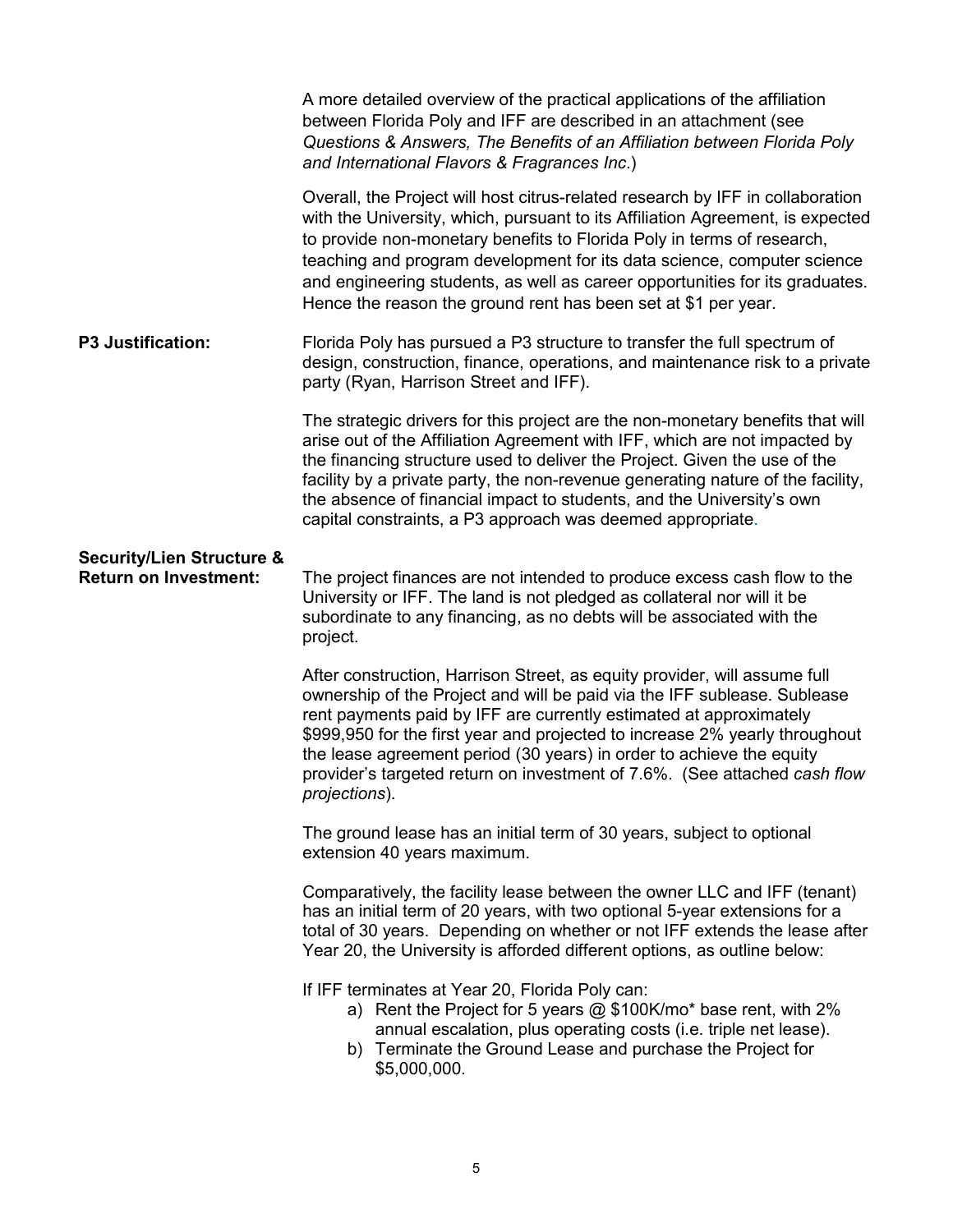|                                                                      | A more detailed overview of the practical applications of the affiliation<br>between Florida Poly and IFF are described in an attachment (see<br>Questions & Answers, The Benefits of an Affiliation between Florida Poly<br>and International Flavors & Fragrances Inc.)                                                                                                                                                                                                        |
|----------------------------------------------------------------------|----------------------------------------------------------------------------------------------------------------------------------------------------------------------------------------------------------------------------------------------------------------------------------------------------------------------------------------------------------------------------------------------------------------------------------------------------------------------------------|
|                                                                      | Overall, the Project will host citrus-related research by IFF in collaboration<br>with the University, which, pursuant to its Affiliation Agreement, is expected<br>to provide non-monetary benefits to Florida Poly in terms of research,<br>teaching and program development for its data science, computer science<br>and engineering students, as well as career opportunities for its graduates.<br>Hence the reason the ground rent has been set at \$1 per year.          |
| <b>P3 Justification:</b>                                             | Florida Poly has pursued a P3 structure to transfer the full spectrum of<br>design, construction, finance, operations, and maintenance risk to a private<br>party (Ryan, Harrison Street and IFF).                                                                                                                                                                                                                                                                               |
|                                                                      | The strategic drivers for this project are the non-monetary benefits that will<br>arise out of the Affiliation Agreement with IFF, which are not impacted by<br>the financing structure used to deliver the Project. Given the use of the<br>facility by a private party, the non-revenue generating nature of the facility,<br>the absence of financial impact to students, and the University's own<br>capital constraints, a P3 approach was deemed appropriate.              |
| <b>Security/Lien Structure &amp;</b><br><b>Return on Investment:</b> | The project finances are not intended to produce excess cash flow to the<br>University or IFF. The land is not pledged as collateral nor will it be<br>subordinate to any financing, as no debts will be associated with the<br>project.                                                                                                                                                                                                                                         |
|                                                                      | After construction, Harrison Street, as equity provider, will assume full<br>ownership of the Project and will be paid via the IFF sublease. Sublease<br>rent payments paid by IFF are currently estimated at approximately<br>\$999,950 for the first year and projected to increase 2% yearly throughout<br>the lease agreement period (30 years) in order to achieve the equity<br>provider's targeted return on investment of 7.6%. (See attached cash flow<br>projections). |
|                                                                      | The ground lease has an initial term of 30 years, subject to optional<br>extension 40 years maximum.                                                                                                                                                                                                                                                                                                                                                                             |
|                                                                      | Comparatively, the facility lease between the owner LLC and IFF (tenant)<br>has an initial term of 20 years, with two optional 5-year extensions for a<br>total of 30 years. Depending on whether or not IFF extends the lease after<br>Year 20, the University is afforded different options, as outline below:                                                                                                                                                                 |
|                                                                      | If IFF terminates at Year 20, Florida Poly can:<br>a) Rent the Project for 5 years @ \$100K/mo* base rent, with 2%<br>annual escalation, plus operating costs (i.e. triple net lease).<br>b) Terminate the Ground Lease and purchase the Project for<br>\$5,000,000.                                                                                                                                                                                                             |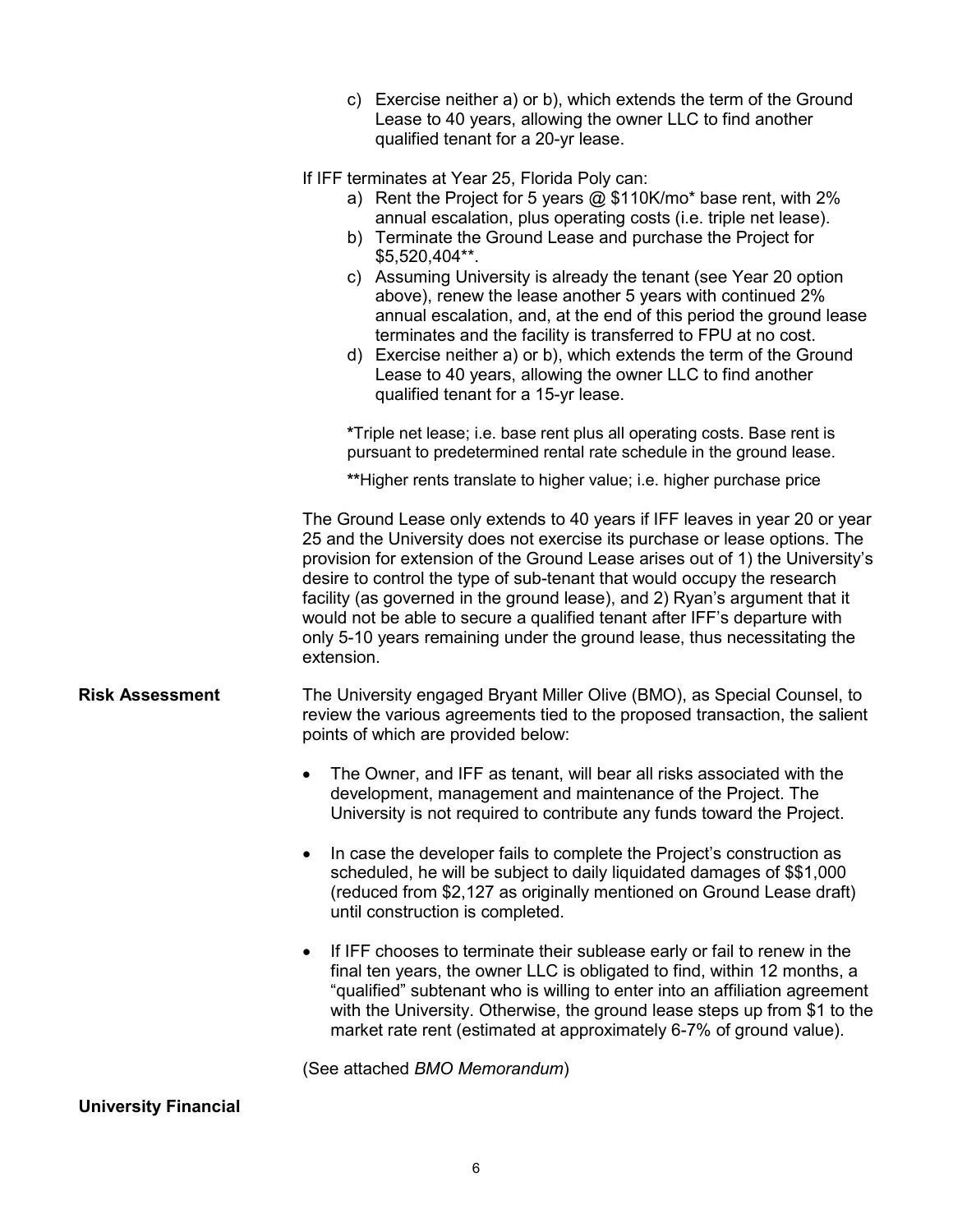|                        | c) Exercise neither a) or b), which extends the term of the Ground<br>Lease to 40 years, allowing the owner LLC to find another<br>qualified tenant for a 20-yr lease.                                                                                                                                                                                                                                                                                                                                                                                                                                                                                                                                                       |
|------------------------|------------------------------------------------------------------------------------------------------------------------------------------------------------------------------------------------------------------------------------------------------------------------------------------------------------------------------------------------------------------------------------------------------------------------------------------------------------------------------------------------------------------------------------------------------------------------------------------------------------------------------------------------------------------------------------------------------------------------------|
|                        | If IFF terminates at Year 25, Florida Poly can:<br>a) Rent the Project for 5 years $@$ \$110K/mo* base rent, with 2%<br>annual escalation, plus operating costs (i.e. triple net lease).<br>b) Terminate the Ground Lease and purchase the Project for<br>$$5,520,404**$ .<br>c) Assuming University is already the tenant (see Year 20 option<br>above), renew the lease another 5 years with continued 2%<br>annual escalation, and, at the end of this period the ground lease<br>terminates and the facility is transferred to FPU at no cost.<br>d) Exercise neither a) or b), which extends the term of the Ground<br>Lease to 40 years, allowing the owner LLC to find another<br>qualified tenant for a 15-yr lease. |
|                        | *Triple net lease; i.e. base rent plus all operating costs. Base rent is<br>pursuant to predetermined rental rate schedule in the ground lease.                                                                                                                                                                                                                                                                                                                                                                                                                                                                                                                                                                              |
|                        | **Higher rents translate to higher value; i.e. higher purchase price                                                                                                                                                                                                                                                                                                                                                                                                                                                                                                                                                                                                                                                         |
|                        | The Ground Lease only extends to 40 years if IFF leaves in year 20 or year<br>25 and the University does not exercise its purchase or lease options. The<br>provision for extension of the Ground Lease arises out of 1) the University's<br>desire to control the type of sub-tenant that would occupy the research<br>facility (as governed in the ground lease), and 2) Ryan's argument that it<br>would not be able to secure a qualified tenant after IFF's departure with<br>only 5-10 years remaining under the ground lease, thus necessitating the<br>extension.                                                                                                                                                    |
| <b>Risk Assessment</b> | The University engaged Bryant Miller Olive (BMO), as Special Counsel, to<br>review the various agreements tied to the proposed transaction, the salient<br>points of which are provided below:                                                                                                                                                                                                                                                                                                                                                                                                                                                                                                                               |
|                        | The Owner, and IFF as tenant, will bear all risks associated with the<br>development, management and maintenance of the Project. The<br>University is not required to contribute any funds toward the Project.                                                                                                                                                                                                                                                                                                                                                                                                                                                                                                               |
|                        | In case the developer fails to complete the Project's construction as<br>scheduled, he will be subject to daily liquidated damages of \$\$1,000<br>(reduced from \$2,127 as originally mentioned on Ground Lease draft)<br>until construction is completed.                                                                                                                                                                                                                                                                                                                                                                                                                                                                  |
|                        | If IFF chooses to terminate their sublease early or fail to renew in the<br>final ten years, the owner LLC is obligated to find, within 12 months, a<br>"qualified" subtenant who is willing to enter into an affiliation agreement<br>with the University. Otherwise, the ground lease steps up from \$1 to the<br>market rate rent (estimated at approximately 6-7% of ground value).                                                                                                                                                                                                                                                                                                                                      |
|                        | (See attached BMO Memorandum)                                                                                                                                                                                                                                                                                                                                                                                                                                                                                                                                                                                                                                                                                                |

## **University Financial**